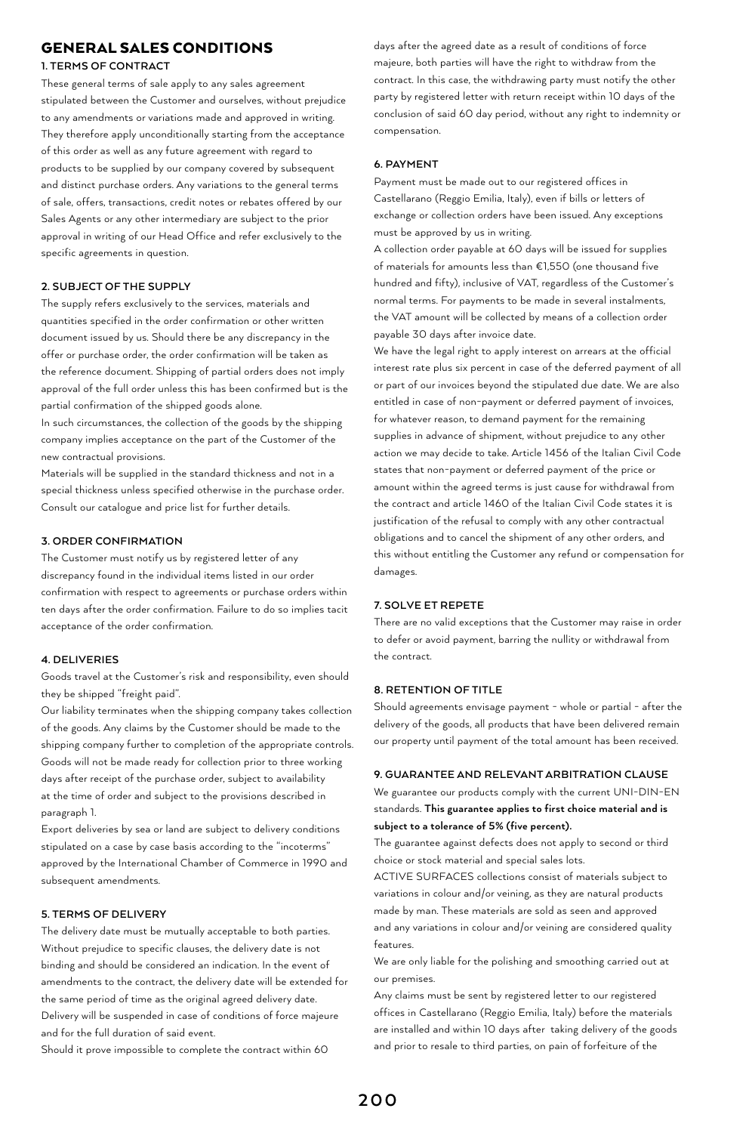# GENERAL SALES CONDITIONS

## **1. TERMS OF CONTRACT**

These general terms of sale apply to any sales agreement stipulated between the Customer and ourselves, without prejudice to any amendments or variations made and approved in writing. They therefore apply unconditionally starting from the acceptance of this order as well as any future agreement with regard to products to be supplied by our company covered by subsequent and distinct purchase orders. Any variations to the general terms of sale, offers, transactions, credit notes or rebates offered by our Sales Agents or any other intermediary are subject to the prior approval in writing of our Head Office and refer exclusively to the specific agreements in question.

#### **2. SUBJECT OF THE SUPPLY**

The supply refers exclusively to the services, materials and quantities specified in the order confirmation or other written document issued by us. Should there be any discrepancy in the offer or purchase order, the order confirmation will be taken as the reference document. Shipping of partial orders does not imply approval of the full order unless this has been confirmed but is the partial confirmation of the shipped goods alone.

In such circumstances, the collection of the goods by the shipping company implies acceptance on the part of the Customer of the new contractual provisions.

Materials will be supplied in the standard thickness and not in a special thickness unless specified otherwise in the purchase order. Consult our catalogue and price list for further details.

#### **3. ORDER CONFIRMATION**

The Customer must notify us by registered letter of any discrepancy found in the individual items listed in our order confirmation with respect to agreements or purchase orders within ten days after the order confirmation. Failure to do so implies tacit acceptance of the order confirmation.

## **4. DELIVERIES**

Goods travel at the Customer's risk and responsibility, even should they be shipped "freight paid".

Our liability terminates when the shipping company takes collection of the goods. Any claims by the Customer should be made to the shipping company further to completion of the appropriate controls. Goods will not be made ready for collection prior to three working days after receipt of the purchase order, subject to availability at the time of order and subject to the provisions described in paragraph 1.

Export deliveries by sea or land are subject to delivery conditions stipulated on a case by case basis according to the "incoterms" approved by the International Chamber of Commerce in 1990 and subsequent amendments.

## **5. TERMS OF DELIVERY**

The delivery date must be mutually acceptable to both parties. Without prejudice to specific clauses, the delivery date is not binding and should be considered an indication. In the event of amendments to the contract, the delivery date will be extended for the same period of time as the original agreed delivery date. Delivery will be suspended in case of conditions of force majeure and for the full duration of said event.

Should it prove impossible to complete the contract within 60

days after the agreed date as a result of conditions of force majeure, both parties will have the right to withdraw from the contract. In this case, the withdrawing party must notify the other party by registered letter with return receipt within 10 days of the conclusion of said 60 day period, without any right to indemnity or compensation.

## **6. PAYMENT**

Payment must be made out to our registered offices in Castellarano (Reggio Emilia, Italy), even if bills or letters of exchange or collection orders have been issued. Any exceptions must be approved by us in writing.

A collection order payable at 60 days will be issued for supplies of materials for amounts less than €1,550 (one thousand five hundred and fifty), inclusive of VAT, regardless of the Customer's normal terms. For payments to be made in several instalments, the VAT amount will be collected by means of a collection order payable 30 days after invoice date.

We have the legal right to apply interest on arrears at the official interest rate plus six percent in case of the deferred payment of all or part of our invoices beyond the stipulated due date. We are also entitled in case of non-payment or deferred payment of invoices, for whatever reason, to demand payment for the remaining supplies in advance of shipment, without prejudice to any other action we may decide to take. Article 1456 of the Italian Civil Code states that non-payment or deferred payment of the price or amount within the agreed terms is just cause for withdrawal from the contract and article 1460 of the Italian Civil Code states it is justification of the refusal to comply with any other contractual obligations and to cancel the shipment of any other orders, and this without entitling the Customer any refund or compensation for damages.

## **7. SOLVE ET REPETE**

There are no valid exceptions that the Customer may raise in order to defer or avoid payment, barring the nullity or withdrawal from the contract.

## **8. RETENTION OF TITLE**

Should agreements envisage payment - whole or partial - after the delivery of the goods, all products that have been delivered remain our property until payment of the total amount has been received.

#### **9. GUARANTEE AND RELEVANT ARBITRATION CLAUSE**

We guarantee our products comply with the current UNI-DIN-EN standards. **This guarantee applies to first choice material and is subject to a tolerance of 5% (five percent).**

The guarantee against defects does not apply to second or third choice or stock material and special sales lots.

ACTIVE SURFACES collections consist of materials subject to variations in colour and/or veining, as they are natural products made by man. These materials are sold as seen and approved and any variations in colour and/or veining are considered quality features.

We are only liable for the polishing and smoothing carried out at our premises.

Any claims must be sent by registered letter to our registered offices in Castellarano (Reggio Emilia, Italy) before the materials are installed and within 10 days after taking delivery of the goods and prior to resale to third parties, on pain of forfeiture of the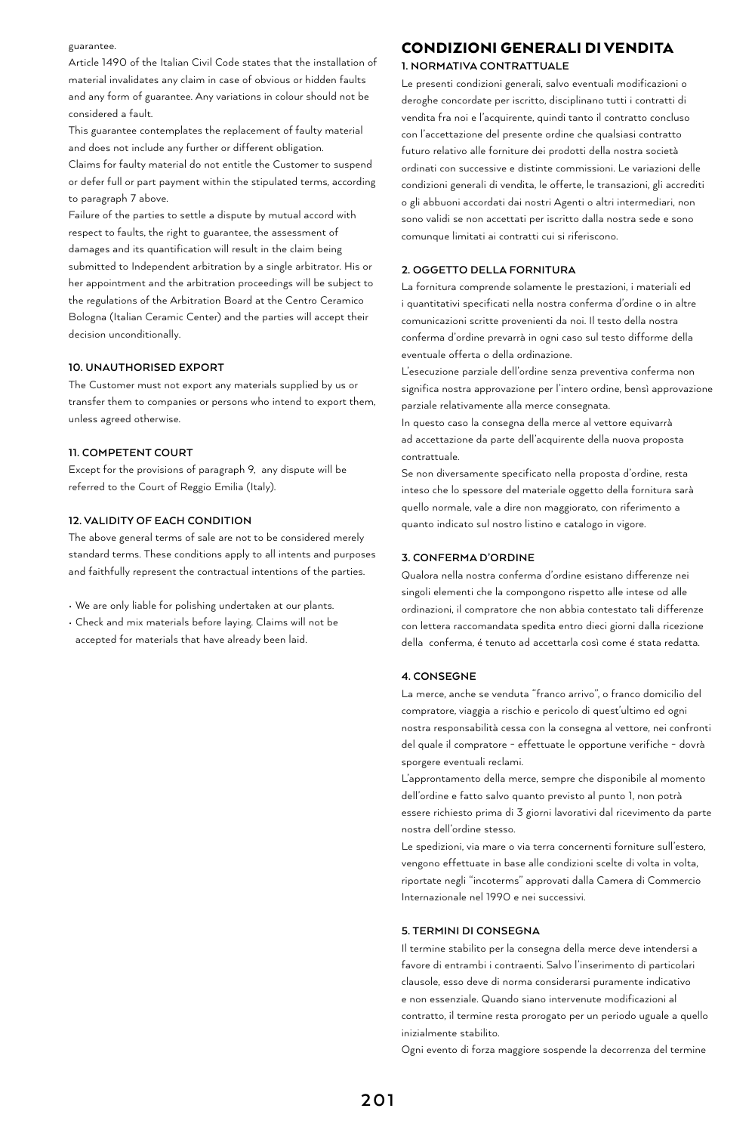#### guarantee.

Article 1490 of the Italian Civil Code states that the installation of material invalidates any claim in case of obvious or hidden faults and any form of guarantee. Any variations in colour should not be considered a fault.

This guarantee contemplates the replacement of faulty material and does not include any further or different obligation. Claims for faulty material do not entitle the Customer to suspend or defer full or part payment within the stipulated terms, according to paragraph 7 above.

Failure of the parties to settle a dispute by mutual accord with respect to faults, the right to guarantee, the assessment of damages and its quantification will result in the claim being submitted to Independent arbitration by a single arbitrator. His or her appointment and the arbitration proceedings will be subject to the regulations of the Arbitration Board at the Centro Ceramico Bologna (Italian Ceramic Center) and the parties will accept their decision unconditionally.

#### **10. UNAUTHORISED EXPORT**

The Customer must not export any materials supplied by us or transfer them to companies or persons who intend to export them, unless agreed otherwise.

## **11. COMPETENT COURT**

Except for the provisions of paragraph 9, any dispute will be referred to the Court of Reggio Emilia (Italy).

## **12. VALIDITY OF EACH CONDITION**

The above general terms of sale are not to be considered merely standard terms. These conditions apply to all intents and purposes and faithfully represent the contractual intentions of the parties.

• We are only liable for polishing undertaken at our plants.

• Check and mix materials before laying. Claims will not be accepted for materials that have already been laid.

# CONDIZIONI GENERALI DI VENDITA

## **1. NORMATIVA CONTRATTUALE**

Le presenti condizioni generali, salvo eventuali modificazioni o deroghe concordate per iscritto, disciplinano tutti i contratti di vendita fra noi e l'acquirente, quindi tanto il contratto concluso con l'accettazione del presente ordine che qualsiasi contratto futuro relativo alle forniture dei prodotti della nostra società ordinati con successive e distinte commissioni. Le variazioni delle condizioni generali di vendita, le offerte, le transazioni, gli accrediti o gli abbuoni accordati dai nostri Agenti o altri intermediari, non sono validi se non accettati per iscritto dalla nostra sede e sono comunque limitati ai contratti cui si riferiscono.

## **2. OGGETTO DELLA FORNITURA**

La fornitura comprende solamente le prestazioni, i materiali ed i quantitativi specificati nella nostra conferma d'ordine o in altre comunicazioni scritte provenienti da noi. Il testo della nostra conferma d'ordine prevarrà in ogni caso sul testo difforme della eventuale offerta o della ordinazione.

L'esecuzione parziale dell'ordine senza preventiva conferma non significa nostra approvazione per l'intero ordine, bensì approvazione parziale relativamente alla merce consegnata.

In questo caso la consegna della merce al vettore equivarrà ad accettazione da parte dell'acquirente della nuova proposta contrattuale.

Se non diversamente specificato nella proposta d'ordine, resta inteso che lo spessore del materiale oggetto della fornitura sarà quello normale, vale a dire non maggiorato, con riferimento a quanto indicato sul nostro listino e catalogo in vigore.

## **3. CONFERMA D'ORDINE**

Qualora nella nostra conferma d'ordine esistano differenze nei singoli elementi che la compongono rispetto alle intese od alle ordinazioni, il compratore che non abbia contestato tali differenze con lettera raccomandata spedita entro dieci giorni dalla ricezione della conferma, é tenuto ad accettarla così come é stata redatta.

#### **4. CONSEGNE**

La merce, anche se venduta "franco arrivo", o franco domicilio del compratore, viaggia a rischio e pericolo di quest'ultimo ed ogni nostra responsabilità cessa con la consegna al vettore, nei confronti del quale il compratore - effettuate le opportune verifiche - dovrà sporgere eventuali reclami.

L'approntamento della merce, sempre che disponibile al momento dell'ordine e fatto salvo quanto previsto al punto 1, non potrà essere richiesto prima di 3 giorni lavorativi dal ricevimento da parte nostra dell'ordine stesso.

Le spedizioni, via mare o via terra concernenti forniture sull'estero, vengono effettuate in base alle condizioni scelte di volta in volta, riportate negli "incoterms" approvati dalla Camera di Commercio Internazionale nel 1990 e nei successivi.

## **5. TERMINI DI CONSEGNA**

Il termine stabilito per la consegna della merce deve intendersi a favore di entrambi i contraenti. Salvo l'inserimento di particolari clausole, esso deve di norma considerarsi puramente indicativo e non essenziale. Quando siano intervenute modificazioni al contratto, il termine resta prorogato per un periodo uguale a quello inizialmente stabilito.

Ogni evento di forza maggiore sospende la decorrenza del termine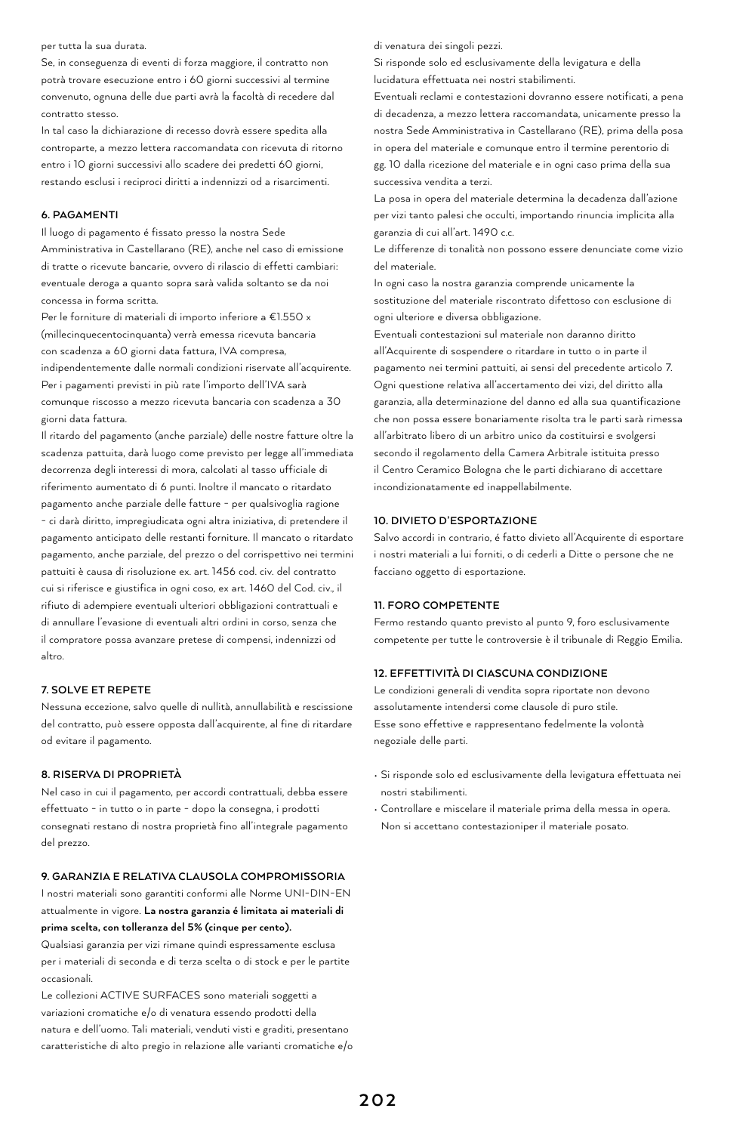#### per tutta la sua durata.

Se, in conseguenza di eventi di forza maggiore, il contratto non potrà trovare esecuzione entro i 60 giorni successivi al termine convenuto, ognuna delle due parti avrà la facoltà di recedere dal contratto stesso.

In tal caso la dichiarazione di recesso dovrà essere spedita alla controparte, a mezzo lettera raccomandata con ricevuta di ritorno entro i 10 giorni successivi allo scadere dei predetti 60 giorni, restando esclusi i reciproci diritti a indennizzi od a risarcimenti.

## **6. PAGAMENTI**

Il luogo di pagamento é fissato presso la nostra Sede Amministrativa in Castellarano (RE), anche nel caso di emissione di tratte o ricevute bancarie, ovvero di rilascio di effetti cambiari: eventuale deroga a quanto sopra sarà valida soltanto se da noi concessa in forma scritta.

Per le forniture di materiali di importo inferiore a €1.550 x (millecinquecentocinquanta) verrà emessa ricevuta bancaria con scadenza a 60 giorni data fattura, IVA compresa, indipendentemente dalle normali condizioni riservate all'acquirente. Per i pagamenti previsti in più rate l'importo dell'IVA sarà comunque riscosso a mezzo ricevuta bancaria con scadenza a 30 giorni data fattura.

Il ritardo del pagamento (anche parziale) delle nostre fatture oltre la scadenza pattuita, darà luogo come previsto per legge all'immediata decorrenza degli interessi di mora, calcolati al tasso ufficiale di riferimento aumentato di 6 punti. Inoltre il mancato o ritardato pagamento anche parziale delle fatture - per qualsivoglia ragione - ci darà diritto, impregiudicata ogni altra iniziativa, di pretendere il pagamento anticipato delle restanti forniture. Il mancato o ritardato pagamento, anche parziale, del prezzo o del corrispettivo nei termini pattuiti è causa di risoluzione ex. art. 1456 cod. civ. del contratto cui si riferisce e giustifica in ogni coso, ex art. 1460 del Cod. civ., il rifiuto di adempiere eventuali ulteriori obbligazioni contrattuali e di annullare l'evasione di eventuali altri ordini in corso, senza che il compratore possa avanzare pretese di compensi, indennizzi od altro.

#### **7. SOLVE ET REPETE**

Nessuna eccezione, salvo quelle di nullità, annullabilità e rescissione del contratto, può essere opposta dall'acquirente, al fine di ritardare od evitare il pagamento.

#### **8. RISERVA DI PROPRIETÀ**

Nel caso in cui il pagamento, per accordi contrattuali, debba essere effettuato - in tutto o in parte - dopo la consegna, i prodotti consegnati restano di nostra proprietà fino all'integrale pagamento del prezzo.

## **9. GARANZIA E RELATIVA CLAUSOLA COMPROMISSORIA**

I nostri materiali sono garantiti conformi alle Norme UNI-DIN-EN attualmente in vigore. **La nostra garanzia é limitata ai materiali di prima scelta, con tolleranza del 5% (cinque per cento).** 

Qualsiasi garanzia per vizi rimane quindi espressamente esclusa per i materiali di seconda e di terza scelta o di stock e per le partite occasionali.

Le collezioni ACTIVE SURFACES sono materiali soggetti a variazioni cromatiche e/o di venatura essendo prodotti della natura e dell'uomo. Tali materiali, venduti visti e graditi, presentano caratteristiche di alto pregio in relazione alle varianti cromatiche e/o

#### di venatura dei singoli pezzi.

Si risponde solo ed esclusivamente della levigatura e della lucidatura effettuata nei nostri stabilimenti.

Eventuali reclami e contestazioni dovranno essere notificati, a pena di decadenza, a mezzo lettera raccomandata, unicamente presso la nostra Sede Amministrativa in Castellarano (RE), prima della posa in opera del materiale e comunque entro il termine perentorio di gg. 10 dalla ricezione del materiale e in ogni caso prima della sua successiva vendita a terzi.

La posa in opera del materiale determina la decadenza dall'azione per vizi tanto palesi che occulti, importando rinuncia implicita alla garanzia di cui all'art. 1490 c.c.

Le differenze di tonalità non possono essere denunciate come vizio del materiale.

In ogni caso la nostra garanzia comprende unicamente la sostituzione del materiale riscontrato difettoso con esclusione di ogni ulteriore e diversa obbligazione.

Eventuali contestazioni sul materiale non daranno diritto all'Acquirente di sospendere o ritardare in tutto o in parte il pagamento nei termini pattuiti, ai sensi del precedente articolo 7. Ogni questione relativa all'accertamento dei vizi, del diritto alla garanzia, alla determinazione del danno ed alla sua quantificazione che non possa essere bonariamente risolta tra le parti sarà rimessa all'arbitrato libero di un arbitro unico da costituirsi e svolgersi secondo il regolamento della Camera Arbitrale istituita presso il Centro Ceramico Bologna che le parti dichiarano di accettare incondizionatamente ed inappellabilmente.

#### **10. DIVIETO D'ESPORTAZIONE**

Salvo accordi in contrario, é fatto divieto all'Acquirente di esportare i nostri materiali a lui forniti, o di cederli a Ditte o persone che ne facciano oggetto di esportazione.

## **11. FORO COMPETENTE**

Fermo restando quanto previsto al punto 9, foro esclusivamente competente per tutte le controversie è il tribunale di Reggio Emilia.

#### **12. EFFETTIVITÀ DI CIASCUNA CONDIZIONE**

Le condizioni generali di vendita sopra riportate non devono assolutamente intendersi come clausole di puro stile. Esse sono effettive e rappresentano fedelmente la volontà negoziale delle parti.

- Si risponde solo ed esclusivamente della levigatura effettuata nei nostri stabilimenti.
- Controllare e miscelare il materiale prima della messa in opera. Non si accettano contestazioniper il materiale posato.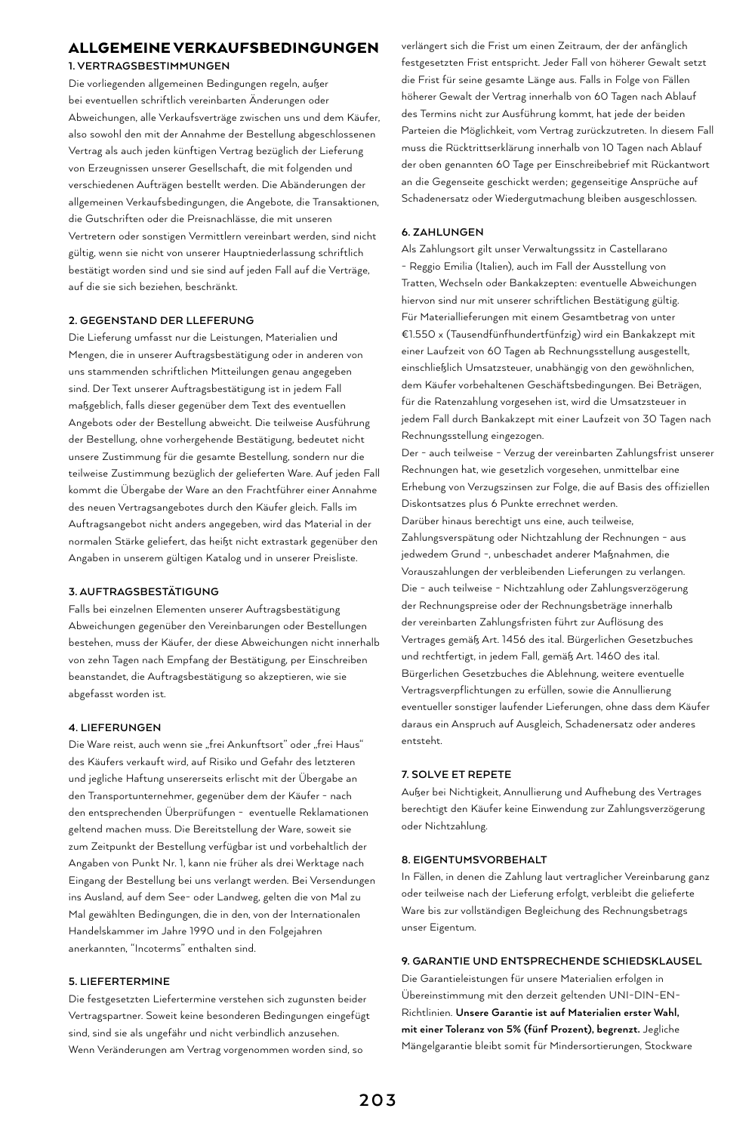# ALLGEMEINE VERKAUFSBEDINGUNGEN

**1. VERTRAGSBESTIMMUNGEN**

Die vorliegenden allgemeinen Bedingungen regeln, außer bei eventuellen schriftlich vereinbarten Änderungen oder Abweichungen, alle Verkaufsverträge zwischen uns und dem Käufer, also sowohl den mit der Annahme der Bestellung abgeschlossenen Vertrag als auch jeden künftigen Vertrag bezüglich der Lieferung von Erzeugnissen unserer Gesellschaft, die mit folgenden und verschiedenen Aufträgen bestellt werden. Die Abänderungen der allgemeinen Verkaufsbedingungen, die Angebote, die Transaktionen, die Gutschriften oder die Preisnachlässe, die mit unseren Vertretern oder sonstigen Vermittlern vereinbart werden, sind nicht gültig, wenn sie nicht von unserer Hauptniederlassung schriftlich bestätigt worden sind und sie sind auf jeden Fall auf die Verträge, auf die sie sich beziehen, beschränkt.

## **2. GEGENSTAND DER LLEFERUNG**

Die Lieferung umfasst nur die Leistungen, Materialien und Mengen, die in unserer Auftragsbestätigung oder in anderen von uns stammenden schriftlichen Mitteilungen genau angegeben sind. Der Text unserer Auftragsbestätigung ist in jedem Fall maßgeblich, falls dieser gegenüber dem Text des eventuellen Angebots oder der Bestellung abweicht. Die teilweise Ausführung der Bestellung, ohne vorhergehende Bestätigung, bedeutet nicht unsere Zustimmung für die gesamte Bestellung, sondern nur die teilweise Zustimmung bezüglich der gelieferten Ware. Auf jeden Fall kommt die Übergabe der Ware an den Frachtführer einer Annahme des neuen Vertragsangebotes durch den Käufer gleich. Falls im Auftragsangebot nicht anders angegeben, wird das Material in der normalen Stärke geliefert, das heißt nicht extrastark gegenüber den Angaben in unserem gültigen Katalog und in unserer Preisliste.

#### **3. AUFTRAGSBESTÄTIGUNG**

Falls bei einzelnen Elementen unserer Auftragsbestätigung Abweichungen gegenüber den Vereinbarungen oder Bestellungen bestehen, muss der Käufer, der diese Abweichungen nicht innerhalb von zehn Tagen nach Empfang der Bestätigung, per Einschreiben beanstandet, die Auftragsbestätigung so akzeptieren, wie sie abgefasst worden ist.

#### **4. LIEFERUNGEN**

Die Ware reist, auch wenn sie "frei Ankunftsort" oder "frei Haus" des Käufers verkauft wird, auf Risiko und Gefahr des letzteren und jegliche Haftung unsererseits erlischt mit der Übergabe an den Transportunternehmer, gegenüber dem der Käufer - nach den entsprechenden Überprüfungen - eventuelle Reklamationen geltend machen muss. Die Bereitstellung der Ware, soweit sie zum Zeitpunkt der Bestellung verfügbar ist und vorbehaltlich der Angaben von Punkt Nr. 1, kann nie früher als drei Werktage nach Eingang der Bestellung bei uns verlangt werden. Bei Versendungen ins Ausland, auf dem See- oder Landweg, gelten die von Mal zu Mal gewählten Bedingungen, die in den, von der Internationalen Handelskammer im Jahre 1990 und in den Folgejahren anerkannten, "Incoterms" enthalten sind.

#### **5. LIEFERTERMINE**

Die festgesetzten Liefertermine verstehen sich zugunsten beider Vertragspartner. Soweit keine besonderen Bedingungen eingefügt sind, sind sie als ungefähr und nicht verbindlich anzusehen. Wenn Veränderungen am Vertrag vorgenommen worden sind, so

verlängert sich die Frist um einen Zeitraum, der der anfänglich festgesetzten Frist entspricht. Jeder Fall von höherer Gewalt setzt die Frist für seine gesamte Länge aus. Falls in Folge von Fällen höherer Gewalt der Vertrag innerhalb von 60 Tagen nach Ablauf des Termins nicht zur Ausführung kommt, hat jede der beiden Parteien die Möglichkeit, vom Vertrag zurückzutreten. In diesem Fall muss die Rücktrittserklärung innerhalb von 10 Tagen nach Ablauf der oben genannten 60 Tage per Einschreibebrief mit Rückantwort an die Gegenseite geschickt werden; gegenseitige Ansprüche auf Schadenersatz oder Wiedergutmachung bleiben ausgeschlossen.

#### **6. ZAHLUNGEN**

Als Zahlungsort gilt unser Verwaltungssitz in Castellarano - Reggio Emilia (Italien), auch im Fall der Ausstellung von Tratten, Wechseln oder Bankakzepten: eventuelle Abweichungen hiervon sind nur mit unserer schriftlichen Bestätigung gültig. Für Materiallieferungen mit einem Gesamtbetrag von unter €1.550 x (Tausendfünfhundertfünfzig) wird ein Bankakzept mit einer Laufzeit von 60 Tagen ab Rechnungsstellung ausgestellt, einschließlich Umsatzsteuer, unabhängig von den gewöhnlichen, dem Käufer vorbehaltenen Geschäftsbedingungen. Bei Beträgen, für die Ratenzahlung vorgesehen ist, wird die Umsatzsteuer in jedem Fall durch Bankakzept mit einer Laufzeit von 30 Tagen nach Rechnungsstellung eingezogen.

Der - auch teilweise - Verzug der vereinbarten Zahlungsfrist unserer Rechnungen hat, wie gesetzlich vorgesehen, unmittelbar eine Erhebung von Verzugszinsen zur Folge, die auf Basis des offiziellen Diskontsatzes plus 6 Punkte errechnet werden. Darüber hinaus berechtigt uns eine, auch teilweise, Zahlungsverspätung oder Nichtzahlung der Rechnungen - aus jedwedem Grund -, unbeschadet anderer Maßnahmen, die Vorauszahlungen der verbleibenden Lieferungen zu verlangen. Die - auch teilweise - Nichtzahlung oder Zahlungsverzögerung der Rechnungspreise oder der Rechnungsbeträge innerhalb der vereinbarten Zahlungsfristen führt zur Auflösung des Vertrages gemäß Art. 1456 des ital. Bürgerlichen Gesetzbuches und rechtfertigt, in jedem Fall, gemäß Art. 1460 des ital. Bürgerlichen Gesetzbuches die Ablehnung, weitere eventuelle Vertragsverpflichtungen zu erfüllen, sowie die Annullierung eventueller sonstiger laufender Lieferungen, ohne dass dem Käufer daraus ein Anspruch auf Ausgleich, Schadenersatz oder anderes entsteht.

## **7. SOLVE ET REPETE**

Außer bei Nichtigkeit, Annullierung und Aufhebung des Vertrages berechtigt den Käufer keine Einwendung zur Zahlungsverzögerung oder Nichtzahlung.

## **8. EIGENTUMSVORBEHALT**

In Fällen, in denen die Zahlung laut vertraglicher Vereinbarung ganz oder teilweise nach der Lieferung erfolgt, verbleibt die gelieferte Ware bis zur vollständigen Begleichung des Rechnungsbetrags unser Eigentum.

#### **9. GARANTIE UND ENTSPRECHENDE SCHIEDSKLAUSEL**

Die Garantieleistungen für unsere Materialien erfolgen in Übereinstimmung mit den derzeit geltenden UNI-DIN-EN-Richtlinien. **Unsere Garantie ist auf Materialien erster Wahl, mit einer Toleranz von 5% (fünf Prozent), begrenzt.** Jegliche Mängelgarantie bleibt somit für Mindersortierungen, Stockware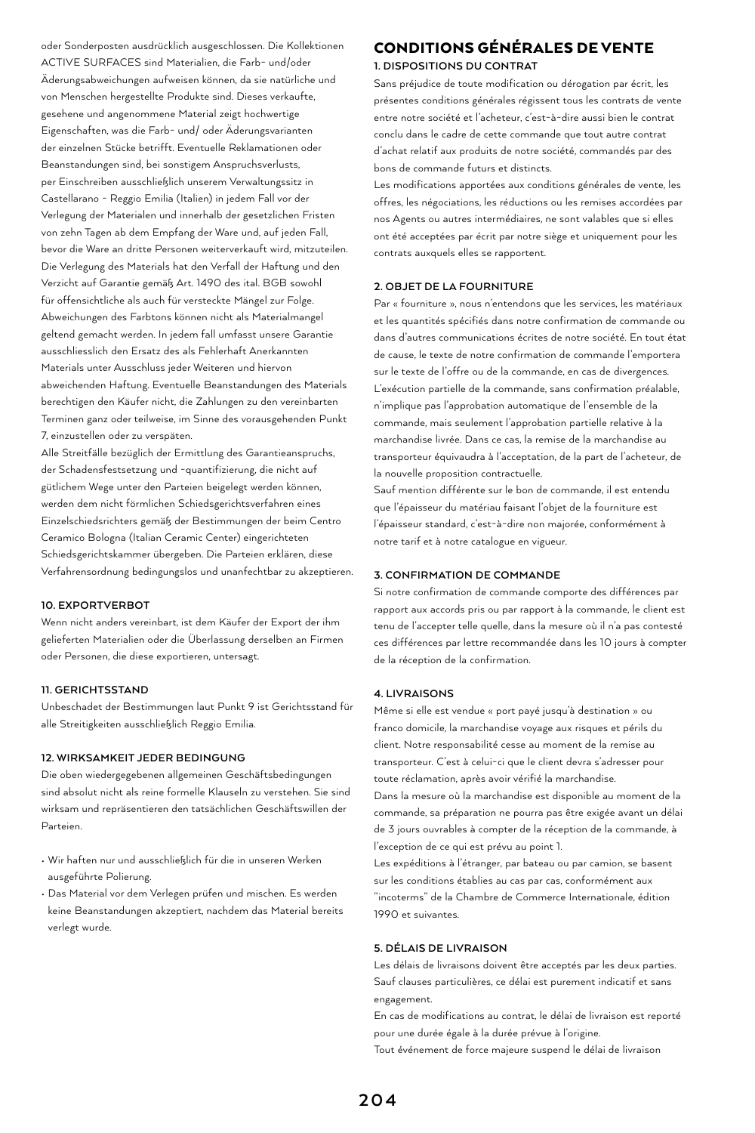oder Sonderposten ausdrücklich ausgeschlossen. Die Kollektionen ACTIVE SURFACES sind Materialien, die Farb- und/oder Äderungsabweichungen aufweisen können, da sie natürliche und von Menschen hergestellte Produkte sind. Dieses verkaufte, gesehene und angenommene Material zeigt hochwertige Eigenschaften, was die Farb- und/ oder Äderungsvarianten der einzelnen Stücke betrifft. Eventuelle Reklamationen oder Beanstandungen sind, bei sonstigem Anspruchsverlusts, per Einschreiben ausschließlich unserem Verwaltungssitz in Castellarano - Reggio Emilia (Italien) in jedem Fall vor der Verlegung der Materialen und innerhalb der gesetzlichen Fristen von zehn Tagen ab dem Empfang der Ware und, auf jeden Fall, bevor die Ware an dritte Personen weiterverkauft wird, mitzuteilen. Die Verlegung des Materials hat den Verfall der Haftung und den Verzicht auf Garantie gemäß Art. 1490 des ital. BGB sowohl für offensichtliche als auch für versteckte Mängel zur Folge. Abweichungen des Farbtons können nicht als Materialmangel geltend gemacht werden. In jedem fall umfasst unsere Garantie ausschliesslich den Ersatz des als Fehlerhaft Anerkannten Materials unter Ausschluss jeder Weiteren und hiervon abweichenden Haftung. Eventuelle Beanstandungen des Materials berechtigen den Käufer nicht, die Zahlungen zu den vereinbarten Terminen ganz oder teilweise, im Sinne des vorausgehenden Punkt 7, einzustellen oder zu verspäten.

Alle Streitfälle bezüglich der Ermittlung des Garantieanspruchs, der Schadensfestsetzung und -quantifizierung, die nicht auf gütlichem Wege unter den Parteien beigelegt werden können, werden dem nicht förmlichen Schiedsgerichtsverfahren eines Einzelschiedsrichters gemäß der Bestimmungen der beim Centro Ceramico Bologna (Italian Ceramic Center) eingerichteten Schiedsgerichtskammer übergeben. Die Parteien erklären, diese Verfahrensordnung bedingungslos und unanfechtbar zu akzeptieren.

## **10. EXPORTVERBOT**

Wenn nicht anders vereinbart, ist dem Käufer der Export der ihm gelieferten Materialien oder die Überlassung derselben an Firmen oder Personen, die diese exportieren, untersagt.

## **11. GERICHTSSTAND**

Unbeschadet der Bestimmungen laut Punkt 9 ist Gerichtsstand für alle Streitigkeiten ausschließlich Reggio Emilia.

## **12. WIRKSAMKEIT JEDER BEDINGUNG**

Die oben wiedergegebenen allgemeinen Geschäftsbedingungen sind absolut nicht als reine formelle Klauseln zu verstehen. Sie sind wirksam und repräsentieren den tatsächlichen Geschäftswillen der Parteien.

- Wir haften nur und ausschließlich für die in unseren Werken ausgeführte Polierung.
- Das Material vor dem Verlegen prüfen und mischen. Es werden keine Beanstandungen akzeptiert, nachdem das Material bereits verlegt wurde.

# CONDITIONS GÉNÉRALES DE VENTE

## **1. DISPOSITIONS DU CONTRAT**

Sans préjudice de toute modification ou dérogation par écrit, les présentes conditions générales régissent tous les contrats de vente entre notre société et l'acheteur, c'est-à-dire aussi bien le contrat conclu dans le cadre de cette commande que tout autre contrat d'achat relatif aux produits de notre société, commandés par des bons de commande futurs et distincts.

Les modifications apportées aux conditions générales de vente, les offres, les négociations, les réductions ou les remises accordées par nos Agents ou autres intermédiaires, ne sont valables que si elles ont été acceptées par écrit par notre siège et uniquement pour les contrats auxquels elles se rapportent.

## **2. OBJET DE LA FOURNITURE**

Par « fourniture », nous n'entendons que les services, les matériaux et les quantités spécifiés dans notre confirmation de commande ou dans d'autres communications écrites de notre société. En tout état de cause, le texte de notre confirmation de commande l'emportera sur le texte de l'offre ou de la commande, en cas de divergences. L'exécution partielle de la commande, sans confirmation préalable, n'implique pas l'approbation automatique de l'ensemble de la commande, mais seulement l'approbation partielle relative à la marchandise livrée. Dans ce cas, la remise de la marchandise au transporteur équivaudra à l'acceptation, de la part de l'acheteur, de la nouvelle proposition contractuelle.

Sauf mention différente sur le bon de commande, il est entendu que l'épaisseur du matériau faisant l'objet de la fourniture est l'épaisseur standard, c'est-à-dire non majorée, conformément à notre tarif et à notre catalogue en vigueur.

#### **3. CONFIRMATION DE COMMANDE**

Si notre confirmation de commande comporte des différences par rapport aux accords pris ou par rapport à la commande, le client est tenu de l'accepter telle quelle, dans la mesure où il n'a pas contesté ces différences par lettre recommandée dans les 10 jours à compter de la réception de la confirmation.

#### **4. LIVRAISONS**

Même si elle est vendue « port payé jusqu'à destination » ou franco domicile, la marchandise voyage aux risques et périls du client. Notre responsabilité cesse au moment de la remise au transporteur. C'est à celui-ci que le client devra s'adresser pour toute réclamation, après avoir vérifié la marchandise. Dans la mesure où la marchandise est disponible au moment de la commande, sa préparation ne pourra pas être exigée avant un délai de 3 jours ouvrables à compter de la réception de la commande, à l'exception de ce qui est prévu au point 1.

Les expéditions à l'étranger, par bateau ou par camion, se basent sur les conditions établies au cas par cas, conformément aux "incoterms" de la Chambre de Commerce Internationale, édition 1990 et suivantes.

## **5. DÉLAIS DE LIVRAISON**

Les délais de livraisons doivent être acceptés par les deux parties. Sauf clauses particulières, ce délai est purement indicatif et sans engagement.

En cas de modifications au contrat, le délai de livraison est reporté pour une durée égale à la durée prévue à l'origine.

Tout événement de force majeure suspend le délai de livraison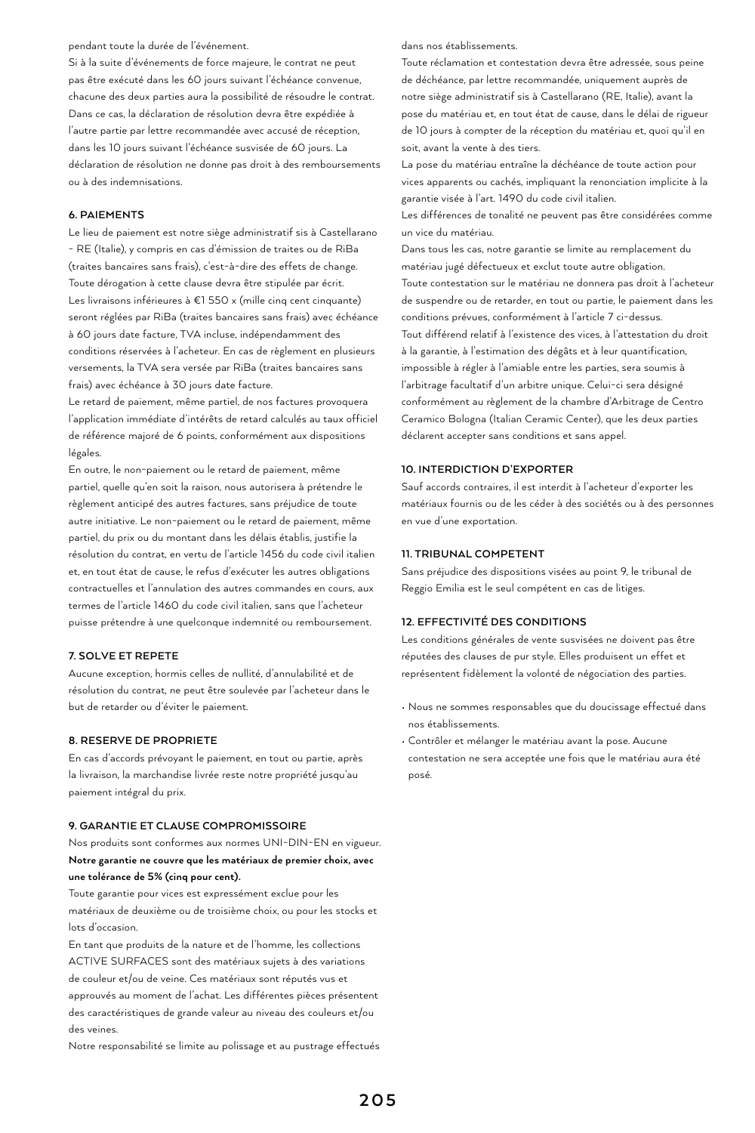pendant toute la durée de l'événement.

Si à la suite d'événements de force majeure, le contrat ne peut pas être exécuté dans les 60 jours suivant l'échéance convenue, chacune des deux parties aura la possibilité de résoudre le contrat. Dans ce cas, la déclaration de résolution devra être expédiée à l'autre partie par lettre recommandée avec accusé de réception, dans les 10 jours suivant l'échéance susvisée de 60 jours. La déclaration de résolution ne donne pas droit à des remboursements ou à des indemnisations.

## **6. PAIEMENTS**

Le lieu de paiement est notre siège administratif sis à Castellarano - RE (Italie), y compris en cas d'émission de traites ou de RiBa (traites bancaires sans frais), c'est-à-dire des effets de change. Toute dérogation à cette clause devra être stipulée par écrit. Les livraisons inférieures à €1 550 x (mille cinq cent cinquante) seront réglées par RiBa (traites bancaires sans frais) avec échéance à 60 jours date facture, TVA incluse, indépendamment des conditions réservées à l'acheteur. En cas de règlement en plusieurs versements, la TVA sera versée par RiBa (traites bancaires sans frais) avec échéance à 30 jours date facture.

Le retard de paiement, même partiel, de nos factures provoquera l'application immédiate d'intérêts de retard calculés au taux officiel de référence majoré de 6 points, conformément aux dispositions légales.

En outre, le non-paiement ou le retard de paiement, même partiel, quelle qu'en soit la raison, nous autorisera à prétendre le règlement anticipé des autres factures, sans préjudice de toute autre initiative. Le non-paiement ou le retard de paiement, même partiel, du prix ou du montant dans les délais établis, justifie la résolution du contrat, en vertu de l'article 1456 du code civil italien et, en tout état de cause, le refus d'exécuter les autres obligations contractuelles et l'annulation des autres commandes en cours, aux termes de l'article 1460 du code civil italien, sans que l'acheteur puisse prétendre à une quelconque indemnité ou remboursement.

#### **7. SOLVE ET REPETE**

Aucune exception, hormis celles de nullité, d'annulabilité et de résolution du contrat, ne peut être soulevée par l'acheteur dans le but de retarder ou d'éviter le paiement.

## **8. RESERVE DE PROPRIETE**

En cas d'accords prévoyant le paiement, en tout ou partie, après la livraison, la marchandise livrée reste notre propriété jusqu'au paiement intégral du prix.

## **9. GARANTIE ET CLAUSE COMPROMISSOIRE**

Nos produits sont conformes aux normes UNI-DIN-EN en vigueur. **Notre garantie ne couvre que les matériaux de premier choix, avec une tolérance de 5% (cinq pour cent).** 

Toute garantie pour vices est expressément exclue pour les matériaux de deuxième ou de troisième choix, ou pour les stocks et lots d'occasion.

En tant que produits de la nature et de l'homme, les collections ACTIVE SURFACES sont des matériaux sujets à des variations de couleur et/ou de veine. Ces matériaux sont réputés vus et approuvés au moment de l'achat. Les différentes pièces présentent des caractéristiques de grande valeur au niveau des couleurs et/ou des veines.

Notre responsabilité se limite au polissage et au pustrage effectués

#### dans nos établissements.

Toute réclamation et contestation devra être adressée, sous peine de déchéance, par lettre recommandée, uniquement auprès de notre siège administratif sis à Castellarano (RE, Italie), avant la pose du matériau et, en tout état de cause, dans le délai de rigueur de 10 jours à compter de la réception du matériau et, quoi qu'il en soit, avant la vente à des tiers.

La pose du matériau entraîne la déchéance de toute action pour vices apparents ou cachés, impliquant la renonciation implicite à la garantie visée à l'art. 1490 du code civil italien.

Les différences de tonalité ne peuvent pas être considérées comme un vice du matériau.

Dans tous les cas, notre garantie se limite au remplacement du matériau jugé défectueux et exclut toute autre obligation. Toute contestation sur le matériau ne donnera pas droit à l'acheteur de suspendre ou de retarder, en tout ou partie, le paiement dans les conditions prévues, conformément à l'article 7 ci-dessus. Tout différend relatif à l'existence des vices, à l'attestation du droit à la garantie, à l'estimation des dégâts et à leur quantification, impossible à régler à l'amiable entre les parties, sera soumis à l'arbitrage facultatif d'un arbitre unique. Celui-ci sera désigné conformément au règlement de la chambre d'Arbitrage de Centro Ceramico Bologna (Italian Ceramic Center), que les deux parties déclarent accepter sans conditions et sans appel.

## **10. INTERDICTION D'EXPORTER**

Sauf accords contraires, il est interdit à l'acheteur d'exporter les matériaux fournis ou de les céder à des sociétés ou à des personnes en vue d'une exportation.

#### **11. TRIBUNAL COMPETENT**

Sans préjudice des dispositions visées au point 9, le tribunal de Reggio Emilia est le seul compétent en cas de litiges.

## **12. EFFECTIVITÉ DES CONDITIONS**

Les conditions générales de vente susvisées ne doivent pas être réputées des clauses de pur style. Elles produisent un effet et représentent fidèlement la volonté de négociation des parties.

- Nous ne sommes responsables que du doucissage effectué dans nos établissements.
- Contrôler et mélanger le matériau avant la pose. Aucune contestation ne sera acceptée une fois que le matériau aura été posé.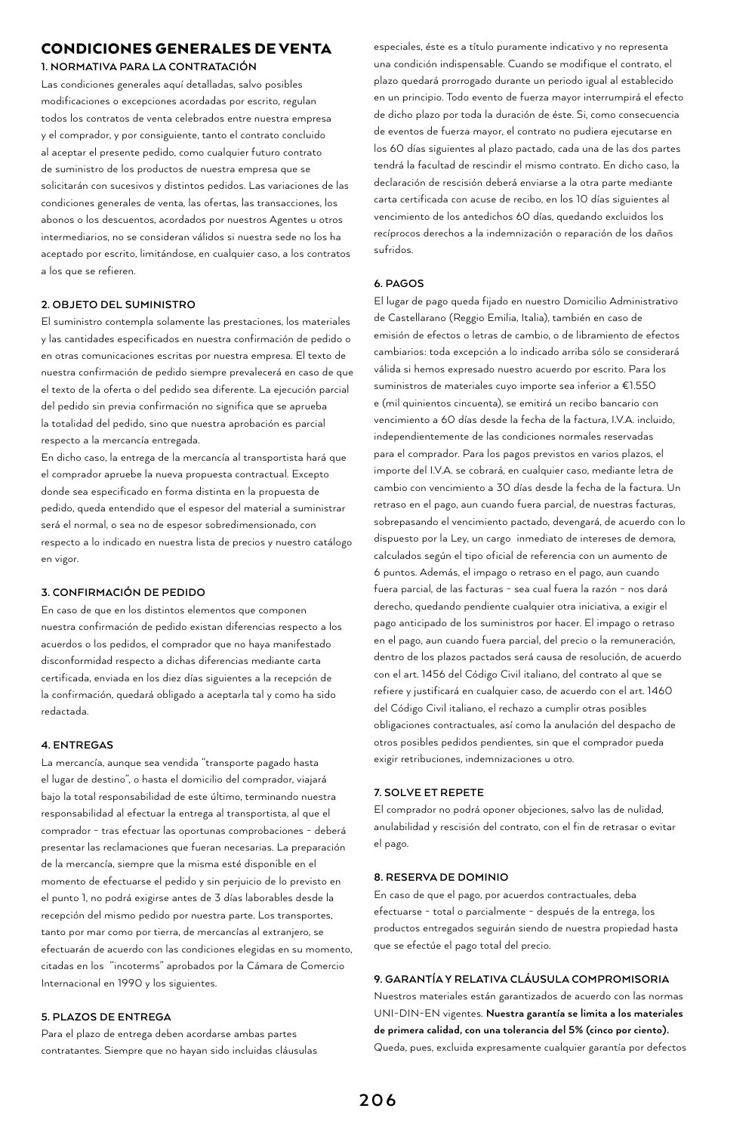# CONDICIONES GENERALES DE VENTA

**1. NORMATIVA PARA LA CONTRATACIÓN**

Las condiciones generales aquí detalladas, salvo posibles modificaciones o excepciones acordadas por escrito, regulan todos los contratos de venta celebrados entre nuestra empresa y el comprador, y por consiguiente, tanto el contrato concluido al aceptar el presente pedido, como cualquier futuro contrato de suministro de los productos de nuestra empresa que se solicitarán con sucesivos y distintos pedidos. Las variaciones de las condiciones generales de venta, las ofertas, las transacciones, los abonos o los descuentos, acordados por nuestros Agentes u otros intermediarios, no se consideran válidos si nuestra sede no los ha aceptado por escrito, limitándose, en cualquier caso, a los contratos a los que se refieren.

## **2. OBJETO DEL SUMINISTRO**

El suministro contempla solamente las prestaciones, los materiales y las cantidades especificados en nuestra confirmación de pedido o en otras comunicaciones escritas por nuestra empresa. El texto de nuestra confirmación de pedido siempre prevalecerá en caso de que el texto de la oferta o del pedido sea diferente. La ejecución parcial del pedido sin previa confirmación no significa que se aprueba la totalidad del pedido, sino que nuestra aprobación es parcial respecto a la mercancía entregada.

En dicho caso, la entrega de la mercancía al transportista hará que el comprador apruebe la nueva propuesta contractual. Excepto donde sea especificado en forma distinta en la propuesta de pedido, queda entendido que el espesor del material a suministrar será el normal, o sea no de espesor sobredimensionado, con respecto a lo indicado en nuestra lista de precios y nuestro catálogo en vigor.

## **3. CONFIRMACIÓN DE PEDIDO**

En caso de que en los distintos elementos que componen nuestra confirmación de pedido existan diferencias respecto a los acuerdos o los pedidos, el comprador que no haya manifestado disconformidad respecto a dichas diferencias mediante carta certificada, enviada en los diez días siguientes a la recepción de la confirmación, quedará obligado a aceptarla tal y como ha sido redactada.

## **4. ENTREGAS**

La mercancía, aunque sea vendida "transporte pagado hasta el lugar de destino", o hasta el domicilio del comprador, viajará bajo la total responsabilidad de este último, terminando nuestra responsabilidad al efectuar la entrega al transportista, al que el comprador - tras efectuar las oportunas comprobaciones - deberá presentar las reclamaciones que fueran necesarias. La preparación de la mercancía, siempre que la misma esté disponible en el momento de efectuarse el pedido y sin perjuicio de lo previsto en el punto 1, no podrá exigirse antes de 3 días laborables desde la recepción del mismo pedido por nuestra parte. Los transportes, tanto por mar como por tierra, de mercancías al extranjero, se efectuarán de acuerdo con las condiciones elegidas en su momento, citadas en los "incoterms" aprobados por la Cámara de Comercio Internacional en 1990 y los siguientes.

## **5. PLAZOS DE ENTREGA**

Para el plazo de entrega deben acordarse ambas partes contratantes. Siempre que no hayan sido incluidas cláusulas

especiales, éste es a título puramente indicativo y no representa una condición indispensable. Cuando se modifique el contrato, el plazo quedará prorrogado durante un periodo igual al establecido en un principio. Todo evento de fuerza mayor interrumpirá el efecto de dicho plazo por toda la duración de éste. Si, como consecuencia de eventos de fuerza mayor, el contrato no pudiera ejecutarse en los 60 días siguientes al plazo pactado, cada una de las dos partes tendrá la facultad de rescindir el mismo contrato. En dicho caso, la declaración de rescisión deberá enviarse a la otra parte mediante carta certificada con acuse de recibo, en los 10 días siguientes al vencimiento de los antedichos 60 días, quedando excluidos los recíprocos derechos a la indemnización o reparación de los daños sufridos.

#### **6. PAGOS**

El lugar de pago queda fijado en nuestro Domicilio Administrativo de Castellarano (Reggio Emilia, Italia), también en caso de emisión de efectos o letras de cambio, o de libramiento de efectos cambiarios: toda excepción a lo indicado arriba sólo se considerará válida si hemos expresado nuestro acuerdo por escrito. Para los suministros de materiales cuyo importe sea inferior a €1.550 e (mil quinientos cincuenta), se emitirá un recibo bancario con vencimiento a 60 días desde la fecha de la factura, I.V.A. incluido, independientemente de las condiciones normales reservadas para el comprador. Para los pagos previstos en varios plazos, el importe del I.V.A. se cobrará, en cualquier caso, mediante letra de cambio con vencimiento a 30 días desde la fecha de la factura. Un retraso en el pago, aun cuando fuera parcial, de nuestras facturas, sobrepasando el vencimiento pactado, devengará, de acuerdo con lo dispuesto por la Ley, un cargo inmediato de intereses de demora, calculados según el tipo oficial de referencia con un aumento de 6 puntos. Además, el impago o retraso en el pago, aun cuando fuera parcial, de las facturas - sea cual fuera la razón - nos dará derecho, quedando pendiente cualquier otra iniciativa, a exigir el pago anticipado de los suministros por hacer. El impago o retraso en el pago, aun cuando fuera parcial, del precio o la remuneración, dentro de los plazos pactados será causa de resolución, de acuerdo con el art. 1456 del Código Civil italiano, del contrato al que se refiere y justificará en cualquier caso, de acuerdo con el art. 1460 del Código Civil italiano, el rechazo a cumplir otras posibles obligaciones contractuales, así como la anulación del despacho de otros posibles pedidos pendientes, sin que el comprador pueda exigir retribuciones, indemnizaciones u otro.

#### **7. SOLVE ET REPETE**

El comprador no podrá oponer objeciones, salvo las de nulidad, anulabilidad y rescisión del contrato, con el fin de retrasar o evitar el pago.

## **8. RESERVA DE DOMINIO**

En caso de que el pago, por acuerdos contractuales, deba efectuarse - total o parcialmente - después de la entrega, los productos entregados seguirán siendo de nuestra propiedad hasta que se efectúe el pago total del precio.

## **9. GARANTÍA Y RELATIVA CLÁUSULA COMPROMISORIA**

Nuestros materiales están garantizados de acuerdo con las normas UNI-DIN-EN vigentes. **Nuestra garantía se limita a los materiales de primera calidad, con una tolerancia del 5% (cinco por ciento).**  Queda, pues, excluida expresamente cualquier garantía por defectos